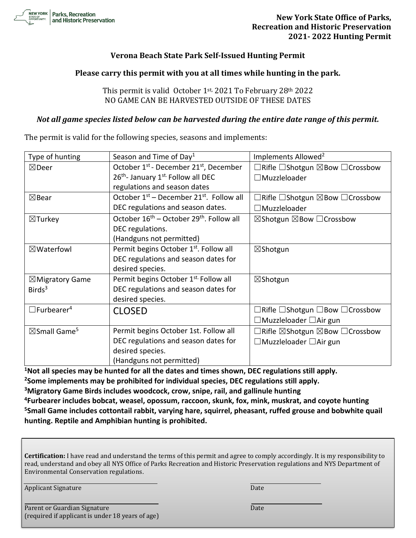

# **Verona Beach State Park Self-Issued Hunting Permit**

### **Please carry this permit with you at all times while hunting in the park.**

# This permit is valid October 1st, 2021 To February 28th 2022 NO GAME CAN BE HARVESTED OUTSIDE OF THESE DATES

#### *Not all game species listed below can be harvested during the entire date range of this permit.*

The permit is valid for the following species, seasons and implements:

| Type of hunting                     | Season and Time of Day <sup>1</sup>                              | Implements Allowed <sup>2</sup>                                  |
|-------------------------------------|------------------------------------------------------------------|------------------------------------------------------------------|
| $\boxtimes$ Deer                    | October 1 <sup>st</sup> - December 21 <sup>st</sup> , December   | $\Box$ Rifle $\Box$ Shotgun $\boxtimes$ Bow $\Box$ Crossbow      |
|                                     | 26 <sup>th</sup> - January 1 <sup>st.</sup> Follow all DEC       | $\Box$ Muzzleloader                                              |
|                                     | regulations and season dates                                     |                                                                  |
| $\boxtimes$ Bear                    | October $1st$ – December 21 <sup>st</sup> . Follow all           | $\Box$ Rifle $\Box$ Shotgun $\boxtimes$ Bow $\Box$ Crossbow      |
|                                     | DEC regulations and season dates.                                | $\Box$ Muzzleloader                                              |
| $\boxtimes$ Turkey                  | October 16 <sup>th</sup> – October 29 <sup>th</sup> . Follow all | $\boxtimes$ Shotgun $\boxtimes$ Bow $\Box$ Crossbow              |
|                                     | DEC regulations.                                                 |                                                                  |
|                                     | (Handguns not permitted)                                         |                                                                  |
| $\boxtimes$ Waterfowl               | Permit begins October 1st. Follow all                            | $\boxtimes$ Shotgun                                              |
|                                     | DEC regulations and season dates for                             |                                                                  |
|                                     | desired species.                                                 |                                                                  |
| $\boxtimes$ Migratory Game          | Permit begins October 1 <sup>st.</sup> Follow all                | ⊠Shotgun                                                         |
| Birds <sup>3</sup>                  | DEC regulations and season dates for                             |                                                                  |
|                                     | desired species.                                                 |                                                                  |
| $\Box$ Furbearer <sup>4</sup>       | <b>CLOSED</b>                                                    | $\Box$ Rifle $\Box$ Shotgun $\Box$ Bow $\Box$ Crossbow           |
|                                     |                                                                  | $\Box$ Muzzleloader $\Box$ Air gun                               |
| $\boxtimes$ Small Game <sup>5</sup> | Permit begins October 1st. Follow all                            | $\Box$ Rifle $\boxtimes$ Shotgun $\boxtimes$ Bow $\Box$ Crossbow |
|                                     | DEC regulations and season dates for                             | $\Box$ Muzzleloader $\Box$ Air gun                               |
|                                     | desired species.                                                 |                                                                  |
|                                     | (Handguns not permitted)                                         |                                                                  |

**<sup>1</sup>Not all species may be hunted for all the dates and times shown, DEC regulations still apply. <sup>2</sup>Some implements may be prohibited for individual species, DEC regulations still apply. <sup>3</sup>Migratory Game Birds includes woodcock, crow, snipe, rail, and gallinule hunting**

**<sup>4</sup>Furbearer includes bobcat, weasel, opossum, raccoon, skunk, fox, mink, muskrat, and coyote hunting <sup>5</sup>Small Game includes cottontail rabbit, varying hare, squirrel, pheasant, ruffed grouse and bobwhite quail hunting. Reptile and Amphibian hunting is prohibited.**

**Certification:** I have read and understand the terms of this permit and agree to comply accordingly. It is my responsibility to read, understand and obey all NYS Office of Parks Recreation and Historic Preservation regulations and NYS Department of Environmental Conservation regulations.

Applicant Signature Date

Parent or Guardian Signature Date Date Date Date (required if applicant is under 18 years of age)